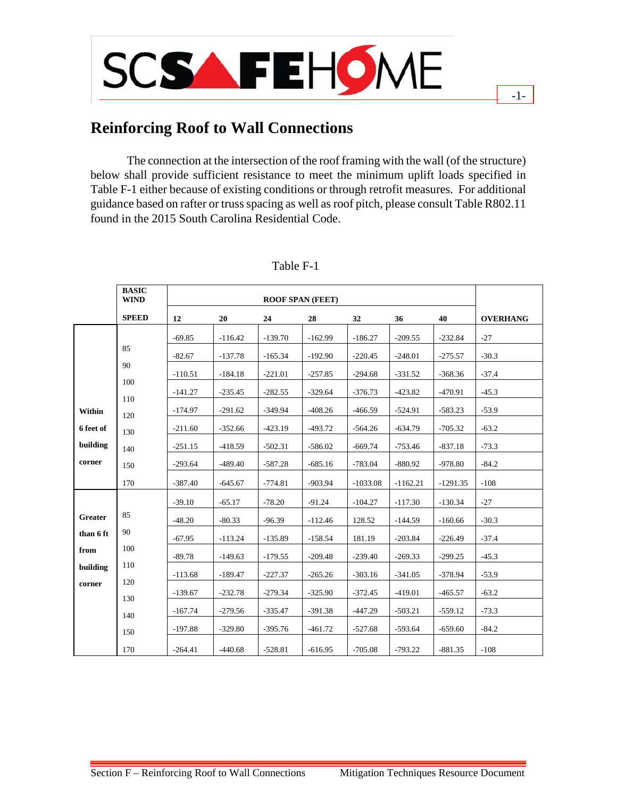

# **Reinforcing Roof to Wall Connections**

The connection at the intersection of the roof framing with the wall (of the structure) below shall provide sufficient resistance to meet the minimum uplift loads specified in Table F-1 either because of existing conditions or through retrofit measures. For additional guidance based on rafter or truss spacing as well as roof pitch, please consult Table R802.11 found in the 2015 South Carolina Residential Code.

-1-

|                | <b>BASIC</b><br><b>WIND</b> | <b>ROOF SPAN (FEET)</b> |           |           |           |            |            |            |                 |
|----------------|-----------------------------|-------------------------|-----------|-----------|-----------|------------|------------|------------|-----------------|
|                | <b>SPEED</b>                | 12                      | 20        | 24        | 28        | 32         | 36         | 40         | <b>OVERHANG</b> |
|                |                             | $-69.85$                | $-116.42$ | $-139.70$ | $-162.99$ | $-186.27$  | $-209.55$  | $-232.84$  | $-27$           |
|                | 85                          | $-82.67$                | $-137.78$ | $-165.34$ | $-192.90$ | $-220.45$  | $-248.01$  | $-275.57$  | $-30.3$         |
|                | 90                          | $-110.51$               | $-184.18$ | $-221.01$ | $-257.85$ | $-294.68$  | $-331.52$  | $-368.36$  | $-37.4$         |
|                | 100                         | $-141.27$               | $-235.45$ | $-282.55$ | $-329.64$ | $-376.73$  | $-423.82$  | $-470.91$  | $-45.3$         |
| Within         | 110                         | $-174.97$               | $-291.62$ | $-349.94$ | $-408.26$ | $-466.59$  | $-524.91$  | $-583.23$  | $-53.9$         |
| 6 feet of      | 120                         | $-211.60$               | $-352.66$ | $-423.19$ | $-493.72$ | $-564.26$  | $-634.79$  | $-705.32$  | $-63.2$         |
| building       | 130                         | $-251.15$               | $-418.59$ | $-502.31$ | $-586.02$ | $-669.74$  | $-753.46$  | $-837.18$  | $-73.3$         |
| corner         | 140<br>150                  | $-293.64$               | $-489.40$ | $-587.28$ | $-685.16$ | $-783.04$  | $-880.92$  | $-978.80$  | $-84.2$         |
|                | 170                         | $-387.40$               | $-645.67$ | $-774.81$ | $-903.94$ | $-1033.08$ | $-1162.21$ | $-1291.35$ | $-108$          |
|                |                             |                         |           |           |           |            |            |            |                 |
| <b>Greater</b> | 85                          | $-39.10$                | $-65.17$  | $-78.20$  | $-91.24$  | $-104.27$  | $-117.30$  | $-130.34$  | $-27$           |
| than 6 ft      | 90                          | $-48.20$                | $-80.33$  | $-96.39$  | $-112.46$ | 128.52     | $-144.59$  | $-160.66$  | $-30.3$         |
| from           | 100                         | $-67.95$                | $-113.24$ | $-135.89$ | $-158.54$ | 181.19     | $-203.84$  | $-226.49$  | $-37.4$         |
| building       | 110                         | $-89.78$                | $-149.63$ | $-179.55$ | $-209.48$ | $-239.40$  | $-269.33$  | $-299.25$  | $-45.3$         |
| corner         | 120                         | $-113.68$               | $-189.47$ | $-227.37$ | $-265.26$ | $-303.16$  | $-341.05$  | $-378.94$  | $-53.9$         |
|                | 130                         | $-139.67$               | $-232.78$ | $-279.34$ | $-325.90$ | $-372.45$  | $-419.01$  | $-465.57$  | $-63.2$         |
|                | 140                         | $-167.74$               | $-279.56$ | $-335.47$ | $-391.38$ | $-447.29$  | $-503.21$  | $-559.12$  | $-73.3$         |
|                | 150                         | $-197.88$               | $-329.80$ | $-395.76$ | $-461.72$ | $-527.68$  | $-593.64$  | $-659.60$  | $-84.2$         |
|                | 170                         | $-264.41$               | $-440.68$ | $-528.81$ | $-616.95$ | $-705.08$  | $-793.22$  | $-881.35$  | $-108$          |

# Table F-1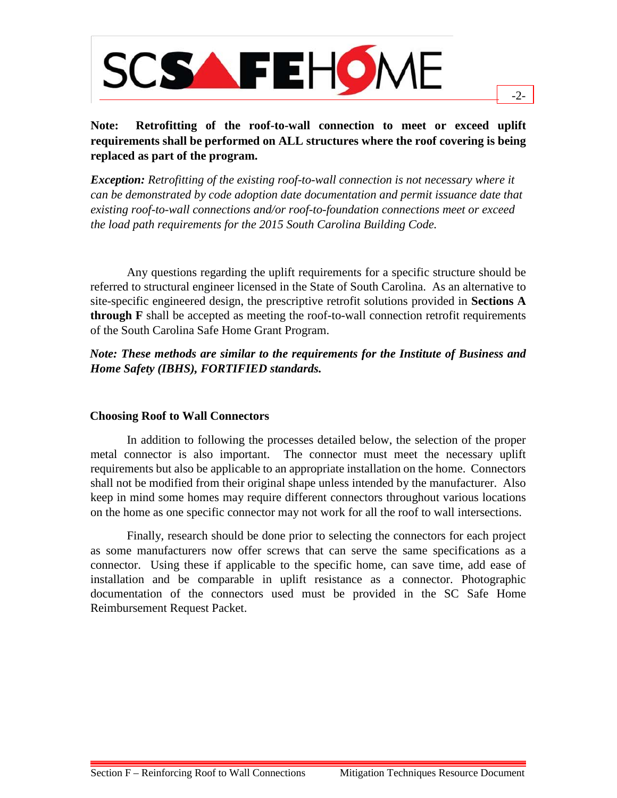

# **Note: Retrofitting of the roof-to-wall connection to meet or exceed uplift requirements shall be performed on ALL structures where the roof covering is being replaced as part of the program.**

-2-

*Exception: Retrofitting of the existing roof-to-wall connection is not necessary where it can be demonstrated by code adoption date documentation and permit issuance date that existing roof-to-wall connections and/or roof-to-foundation connections meet or exceed the load path requirements for the 2015 South Carolina Building Code.* 

Any questions regarding the uplift requirements for a specific structure should be referred to structural engineer licensed in the State of South Carolina. As an alternative to site-specific engineered design, the prescriptive retrofit solutions provided in **Sections A through F** shall be accepted as meeting the roof-to-wall connection retrofit requirements of the South Carolina Safe Home Grant Program.

### *Note: These methods are similar to the requirements for the Institute of Business and Home Safety (IBHS), FORTIFIED standards.*

#### **Choosing Roof to Wall Connectors**

In addition to following the processes detailed below, the selection of the proper metal connector is also important. The connector must meet the necessary uplift requirements but also be applicable to an appropriate installation on the home. Connectors shall not be modified from their original shape unless intended by the manufacturer. Also keep in mind some homes may require different connectors throughout various locations on the home as one specific connector may not work for all the roof to wall intersections.

Finally, research should be done prior to selecting the connectors for each project as some manufacturers now offer screws that can serve the same specifications as a connector. Using these if applicable to the specific home, can save time, add ease of installation and be comparable in uplift resistance as a connector. Photographic documentation of the connectors used must be provided in the SC Safe Home Reimbursement Request Packet.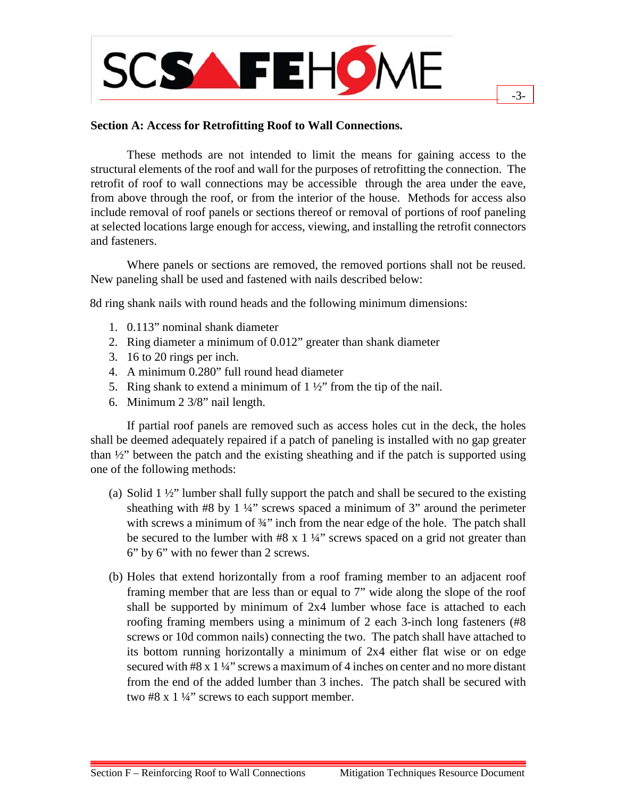

#### **Section A: Access for Retrofitting Roof to Wall Connections.**

These methods are not intended to limit the means for gaining access to the structural elements of the roof and wall for the purposes of retrofitting the connection. The retrofit of roof to wall connections may be accessible through the area under the eave, from above through the roof, or from the interior of the house. Methods for access also include removal of roof panels or sections thereof or removal of portions of roof paneling at selected locations large enough for access, viewing, and installing the retrofit connectors and fasteners.

Where panels or sections are removed, the removed portions shall not be reused. New paneling shall be used and fastened with nails described below:

8d ring shank nails with round heads and the following minimum dimensions:

- 1. 0.113" nominal shank diameter
- 2. Ring diameter a minimum of 0.012" greater than shank diameter
- 3. 16 to 20 rings per inch.
- 4. A minimum 0.280" full round head diameter
- 5. Ring shank to extend a minimum of  $1\frac{1}{2}$  from the tip of the nail.
- 6. Minimum 2 3/8" nail length.

If partial roof panels are removed such as access holes cut in the deck, the holes shall be deemed adequately repaired if a patch of paneling is installed with no gap greater than  $\frac{1}{2}$  between the patch and the existing sheathing and if the patch is supported using one of the following methods:

- (a) Solid 1 ½" lumber shall fully support the patch and shall be secured to the existing sheathing with  $#8$  by 1 ¼" screws spaced a minimum of 3" around the perimeter with screws a minimum of 3<sup>4"</sup> inch from the near edge of the hole. The patch shall be secured to the lumber with  $#8 \times 1 \frac{1}{4}$ " screws spaced on a grid not greater than 6" by 6" with no fewer than 2 screws.
- (b) Holes that extend horizontally from a roof framing member to an adjacent roof framing member that are less than or equal to 7" wide along the slope of the roof shall be supported by minimum of 2x4 lumber whose face is attached to each roofing framing members using a minimum of 2 each 3-inch long fasteners (#8 screws or 10d common nails) connecting the two. The patch shall have attached to its bottom running horizontally a minimum of 2x4 either flat wise or on edge secured with #8 x 1 ¼" screws a maximum of 4 inches on center and no more distant from the end of the added lumber than 3 inches. The patch shall be secured with two #8 x  $1\frac{1}{4}$ " screws to each support member.

-3-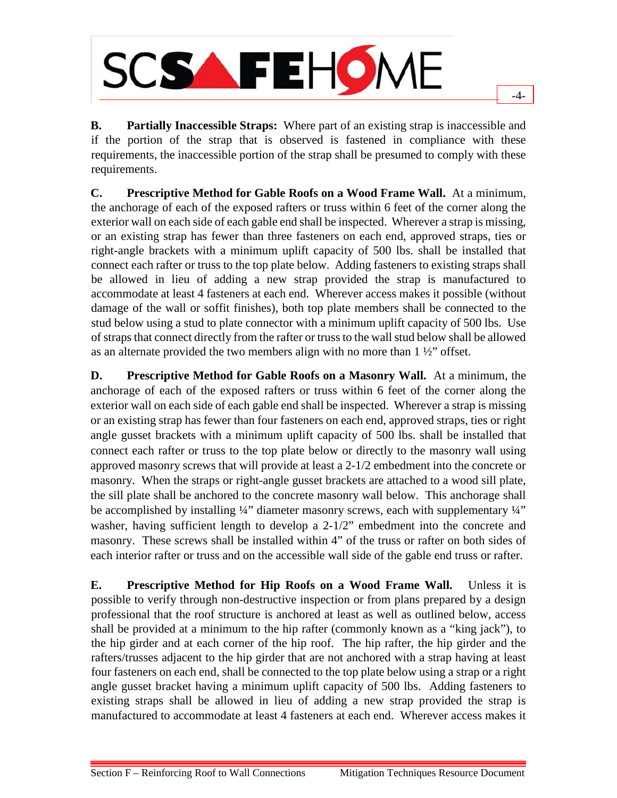

**B. Partially Inaccessible Straps:** Where part of an existing strap is inaccessible and if the portion of the strap that is observed is fastened in compliance with these requirements, the inaccessible portion of the strap shall be presumed to comply with these requirements.

-4-

**C. Prescriptive Method for Gable Roofs on a Wood Frame Wall.** At a minimum, the anchorage of each of the exposed rafters or truss within 6 feet of the corner along the exterior wall on each side of each gable end shall be inspected. Wherever a strap is missing, or an existing strap has fewer than three fasteners on each end, approved straps, ties or right-angle brackets with a minimum uplift capacity of 500 lbs. shall be installed that connect each rafter or truss to the top plate below. Adding fasteners to existing straps shall be allowed in lieu of adding a new strap provided the strap is manufactured to accommodate at least 4 fasteners at each end. Wherever access makes it possible (without damage of the wall or soffit finishes), both top plate members shall be connected to the stud below using a stud to plate connector with a minimum uplift capacity of 500 lbs. Use of straps that connect directly from the rafter or truss to the wallstud below shall be allowed as an alternate provided the two members align with no more than  $1 \frac{1}{2}$  offset.

**D. Prescriptive Method for Gable Roofs on a Masonry Wall.** At a minimum, the anchorage of each of the exposed rafters or truss within 6 feet of the corner along the exterior wall on each side of each gable end shall be inspected. Wherever a strap is missing or an existing strap has fewer than four fasteners on each end, approved straps, ties or right angle gusset brackets with a minimum uplift capacity of 500 lbs. shall be installed that connect each rafter or truss to the top plate below or directly to the masonry wall using approved masonry screws that will provide at least a 2-1/2 embedment into the concrete or masonry. When the straps or right-angle gusset brackets are attached to a wood sill plate, the sill plate shall be anchored to the concrete masonry wall below. This anchorage shall be accomplished by installing ¼" diameter masonry screws, each with supplementary ¼" washer, having sufficient length to develop a 2-1/2" embedment into the concrete and masonry. These screws shall be installed within 4" of the truss or rafter on both sides of each interior rafter or truss and on the accessible wall side of the gable end truss or rafter.

**E. Prescriptive Method for Hip Roofs on a Wood Frame Wall.** Unless it is possible to verify through non-destructive inspection or from plans prepared by a design professional that the roof structure is anchored at least as well as outlined below, access shall be provided at a minimum to the hip rafter (commonly known as a "king jack"), to the hip girder and at each corner of the hip roof. The hip rafter, the hip girder and the rafters/trusses adjacent to the hip girder that are not anchored with a strap having at least four fasteners on each end, shall be connected to the top plate below using a strap or a right angle gusset bracket having a minimum uplift capacity of 500 lbs. Adding fasteners to existing straps shall be allowed in lieu of adding a new strap provided the strap is manufactured to accommodate at least 4 fasteners at each end. Wherever access makes it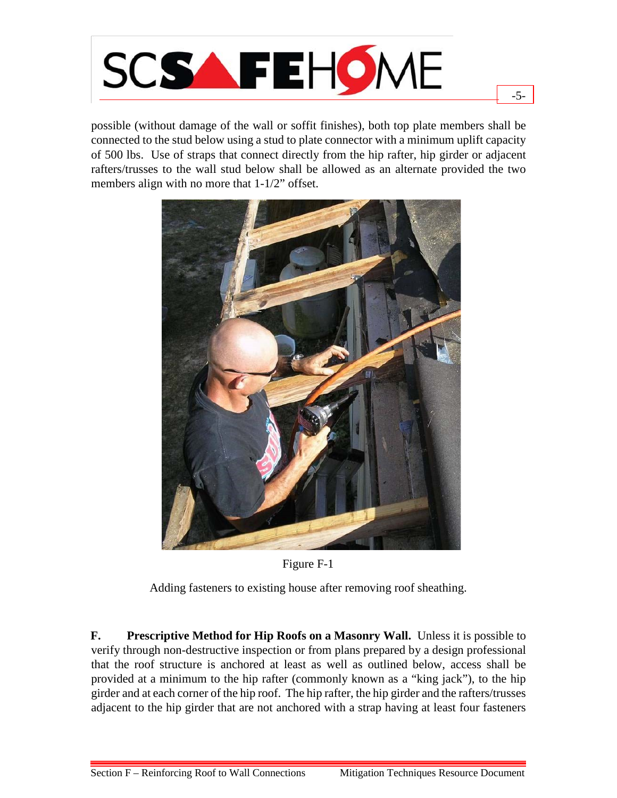

possible (without damage of the wall or soffit finishes), both top plate members shall be connected to the stud below using a stud to plate connector with a minimum uplift capacity of 500 lbs. Use of straps that connect directly from the hip rafter, hip girder or adjacent rafters/trusses to the wall stud below shall be allowed as an alternate provided the two members align with no more that 1-1/2" offset.

-5-





Adding fasteners to existing house after removing roof sheathing.

**F. Prescriptive Method for Hip Roofs on a Masonry Wall.** Unless it is possible to verify through non-destructive inspection or from plans prepared by a design professional that the roof structure is anchored at least as well as outlined below, access shall be provided at a minimum to the hip rafter (commonly known as a "king jack"), to the hip girder and at each corner of the hip roof. The hip rafter, the hip girder and the rafters/trusses adjacent to the hip girder that are not anchored with a strap having at least four fasteners